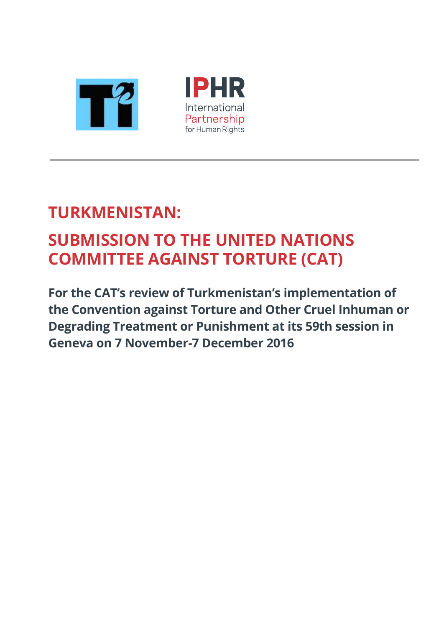

# **TURKMENISTAN: SUBMISSION TO THE UNITED NATIONS COMMITTEE AGAINST TORTURE (CAT)**

**For the CAT's review of Turkmenistan's implementation of the Convention against Torture and Other Cruel Inhuman or Degrading Treatment or Punishment at its 59th session in Geneva on 7 November-7 December 2016**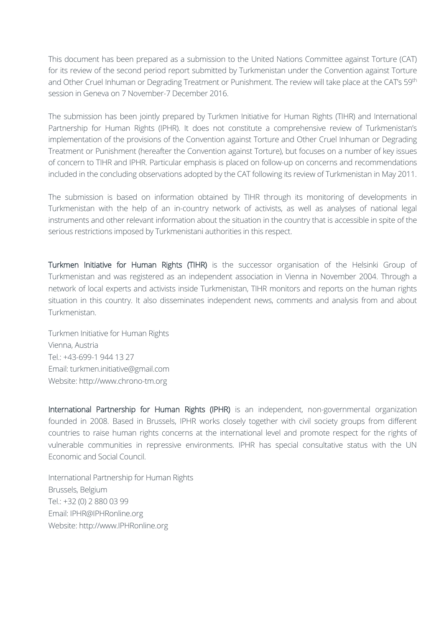This document has been prepared as a submission to the United Nations Committee against Torture (CAT) for its review of the second period report submitted by Turkmenistan under the Convention against Torture and Other Cruel Inhuman or Degrading Treatment or Punishment. The review will take place at the CAT's 59<sup>th</sup> session in Geneva on 7 November-7 December 2016.

The submission has been jointly prepared by Turkmen Initiative for Human Rights (TIHR) and International Partnership for Human Rights (IPHR). It does not constitute a comprehensive review of Turkmenistan's implementation of the provisions of the Convention against Torture and Other Cruel Inhuman or Degrading Treatment or Punishment (hereafter the Convention against Torture), but focuses on a number of key issues of concern to TIHR and IPHR. Particular emphasis is placed on follow-up on concerns and recommendations included in the concluding observations adopted by the CAT following its review of Turkmenistan in May 2011.

The submission is based on information obtained by TIHR through its monitoring of developments in Turkmenistan with the help of an in-country network of activists, as well as analyses of national legal instruments and other relevant information about the situation in the country that is accessible in spite of the serious restrictions imposed by Turkmenistani authorities in this respect.

Turkmen Initiative for Human Rights (TIHR) is the successor organisation of the Helsinki Group of Turkmenistan and was registered as an independent association in Vienna in November 2004. Through a network of local experts and activists inside Turkmenistan, TIHR monitors and reports on the human rights situation in this country. It also disseminates independent news, comments and analysis from and about Turkmenistan.

Turkmen Initiative for Human Rights Vienna, Austria Tel.: +43-699-1 944 13 27 Email: turkmen.initiative@gmail.com Website: [http://www.chrono-tm.org](http://www.chrono-tm.org/)

International Partnership for Human Rights (IPHR) is an independent, non-governmental organization founded in 2008. Based in Brussels, IPHR works closely together with civil society groups from different countries to raise human rights concerns at the international level and promote respect for the rights of vulnerable communities in repressive environments. IPHR has special consultative status with the UN Economic and Social Council.

International Partnership for Human Rights Brussels, Belgium Tel.: +32 (0) 2 880 03 99 Email: IPHR@IPHRonline.org Website: [http://www.IPHRonline.org](http://www.iphronline.org/)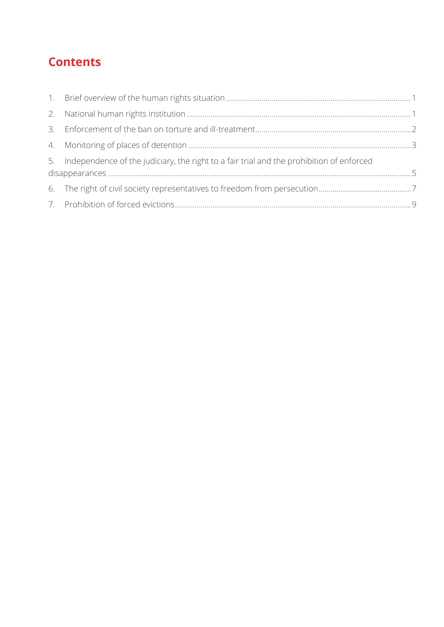# **Contents**

| 5. Independence of the judiciary, the right to a fair trial and the prohibition of enforced |  |
|---------------------------------------------------------------------------------------------|--|
|                                                                                             |  |
|                                                                                             |  |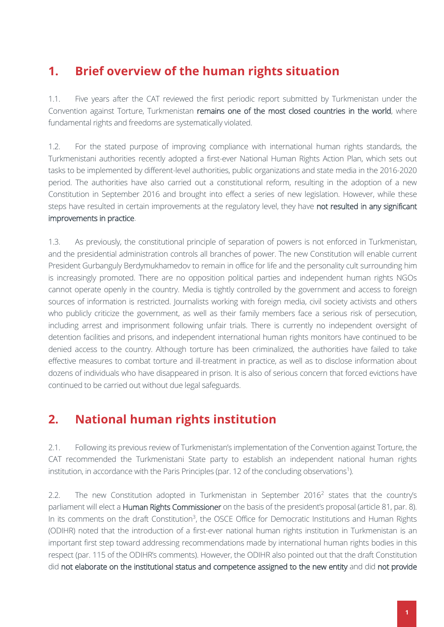### <span id="page-3-0"></span>**1. Brief overview of the human rights situation**

1.1. Five years after the CAT reviewed the first periodic report submitted by Turkmenistan under the Convention against Torture, Turkmenistan remains one of the most closed countries in the world, where fundamental rights and freedoms are systematically violated.

1.2. For the stated purpose of improving compliance with international human rights standards, the Turkmenistani authorities recently adopted a first-ever National Human Rights Action Plan, which sets out tasks to be implemented by different-level authorities, public organizations and state media in the 2016-2020 period. The authorities have also carried out a constitutional reform, resulting in the adoption of a new Constitution in September 2016 and brought into effect a series of new legislation. However, while these steps have resulted in certain improvements at the regulatory level, they have not resulted in any significant improvements in practice.

1.3. As previously, the constitutional principle of separation of powers is not enforced in Turkmenistan, and the presidential administration controls all branches of power. The new Constitution will enable current President Gurbanguly Berdymukhamedov to remain in office for life and the personality cult surrounding him is increasingly promoted. There are no opposition political parties and independent human rights NGOs cannot operate openly in the country. Media is tightly controlled by the government and access to foreign sources of information is restricted. Journalists working with foreign media, civil society activists and others who publicly criticize the government, as well as their family members face a serious risk of persecution, including arrest and imprisonment following unfair trials. There is currently no independent oversight of detention facilities and prisons, and independent international human rights monitors have continued to be denied access to the country. Although torture has been criminalized, the authorities have failed to take effective measures to combat torture and ill-treatment in practice, as well as to disclose information about dozens of individuals who have disappeared in prison. It is also of serious concern that forced evictions have continued to be carried out without due legal safeguards.

### <span id="page-3-1"></span>**2. National human rights institution**

2.1. Following its previous review of Turkmenistan's implementation of the Convention against Torture, the CAT recommended the Turkmenistani State party to establish an independent national human rights institution, in accordance with the Paris Principles (par. 12 of the concluding observations<sup>1</sup>).

2.2. The new Constitution adopted in Turkmenistan in September 2016<sup>2</sup> states that the country's parliament will elect a Human Rights Commissioner on the basis of the president's proposal (article 81, par. 8). In its comments on the draft Constitution<sup>3</sup>, the OSCE Office for Democratic Institutions and Human Rights (ODIHR) noted that the introduction of a first-ever national human rights institution in Turkmenistan is an important first step toward addressing recommendations made by international human rights bodies in this respect (par. 115 of the ODIHR's comments). However, the ODIHR also pointed out that the draft Constitution did not elaborate on the institutional status and competence assigned to the new entity and did not provide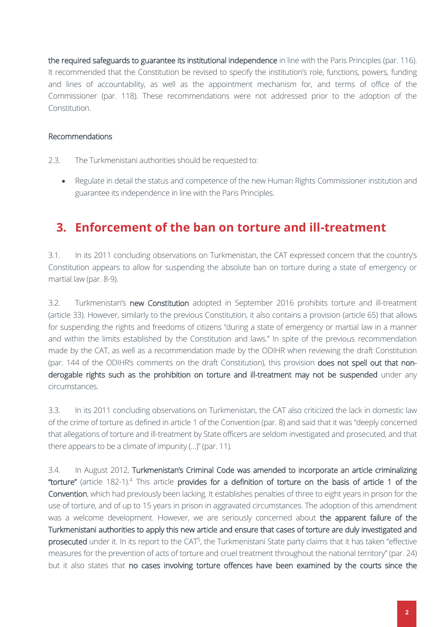the required safeguards to guarantee its institutional independence in line with the Paris Principles (par. 116). It recommended that the Constitution be revised to specify the institution's role, functions, powers, funding and lines of accountability, as well as the appointment mechanism for, and terms of office of the Commissioner (par. 118). These recommendations were not addressed prior to the adoption of the Constitution.

#### Recommendations

- 2.3. The Turkmenistani authorities should be requested to:
	- Regulate in detail the status and competence of the new Human Rights Commissioner institution and guarantee its independence in line with the Paris Principles.

### <span id="page-4-0"></span>**3. Enforcement of the ban on torture and ill-treatment**

3.1. In its 2011 concluding observations on Turkmenistan, the CAT expressed concern that the country's Constitution appears to allow for suspending the absolute ban on torture during a state of emergency or martial law (par. 8-9).

3.2. Turkmenistan's new Constitution adopted in September 2016 prohibits torture and ill-treatment (article 33). However, similarly to the previous Constitution, it also contains a provision (article 65) that allows for suspending the rights and freedoms of citizens "during a state of emergency or martial law in a manner and within the limits established by the Constitution and laws." In spite of the previous recommendation made by the CAT, as well as a recommendation made by the ODIHR when reviewing the draft Constitution (par. 144 of the ODIHR's comments on the draft Constitution), this provision does not spell out that nonderogable rights such as the prohibition on torture and ill-treatment may not be suspended under any circumstances.

3.3. In its 2011 concluding observations on Turkmenistan, the CAT also criticized the lack in domestic law of the crime of torture as defined in article 1 of the Convention (par. 8) and said that it was "deeply concerned that allegations of torture and ill-treatment by State officers are seldom investigated and prosecuted, and that there appears to be a climate of impunity (…)" (par. 11).

3.4. In August 2012, Turkmenistan's Criminal Code was amended to incorporate an article criminalizing "torture" (article 182-1).<sup>4</sup> This article provides for a definition of torture on the basis of article 1 of the Convention, which had previously been lacking. It establishes penalties of three to eight years in prison for the use of torture, and of up to 15 years in prison in aggravated circumstances. The adoption of this amendment was a welcome development. However, we are seriously concerned about the apparent failure of the Turkmenistani authorities to apply this new article and ensure that cases of torture are duly investigated and prosecuted under it. In its report to the CAT<sup>5</sup>, the Turkmenistani State party claims that it has taken "effective measures for the prevention of acts of torture and cruel treatment throughout the national territory" (par. 24) but it also states that no cases involving torture offences have been examined by the courts since the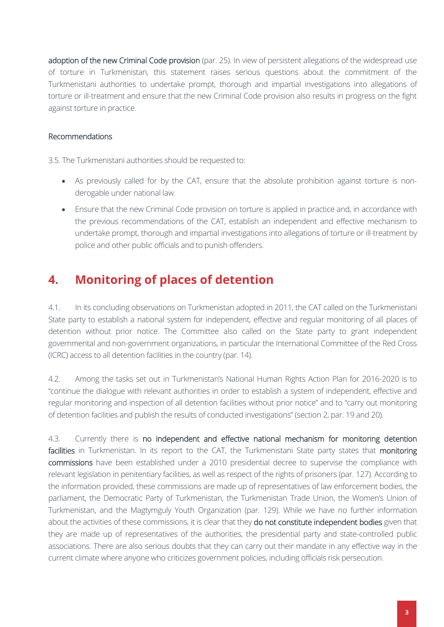adoption of the new Criminal Code provision (par. 25). In view of persistent allegations of the widespread use of torture in Turkmenistan, this statement raises serious questions about the commitment of the Turkmenistani authorities to undertake prompt, thorough and impartial investigations into allegations of torture or ill-treatment and ensure that the new Criminal Code provision also results in progress on the fight against torture in practice.

#### Recommendations

3.5. The Turkmenistani authorities should be requested to:

- As previously called for by the CAT, ensure that the absolute prohibition against torture is nonderogable under national law.
- Ensure that the new Criminal Code provision on torture is applied in practice and, in accordance with the previous recommendations of the CAT, establish an independent and effective mechanism to undertake prompt, thorough and impartial investigations into allegations of torture or ill-treatment by police and other public officials and to punish offenders.

### <span id="page-5-0"></span>**4. Monitoring of places of detention**

4.1. In its concluding observations on Turkmenistan adopted in 2011, the CAT called on the Turkmenistani State party to establish a national system for independent, effective and regular monitoring of all places of detention without prior notice. The Committee also called on the State party to grant independent governmental and non-government organizations, in particular the International Committee of the Red Cross (ICRC) access to all detention facilities in the country (par. 14).

4.2. Among the tasks set out in Turkmenistan's National Human Rights Action Plan for 2016-2020 is to "continue the dialogue with relevant authorities in order to establish a system of independent, effective and regular monitoring and inspection of all detention facilities without prior notice" and to "carry out monitoring of detention facilities and publish the results of conducted investigations" (section 2, par. 19 and 20).

4.3. Currently there is no independent and effective national mechanism for monitoring detention facilities in Turkmenistan. In its report to the CAT, the Turkmenistani State party states that monitoring commissions have been established under a 2010 presidential decree to supervise the compliance with relevant legislation in penitentiary facilities, as well as respect of the rights of prisoners (par. 127). According to the information provided, these commissions are made up of representatives of law enforcement bodies, the parliament, the Democratic Party of Turkmenistan, the Turkmenistan Trade Union, the Women's Union of Turkmenistan, and the Magtymguly Youth Organization (par. 129). While we have no further information about the activities of these commissions, it is clear that they do not constitute independent bodies given that they are made up of representatives of the authorities, the presidential party and state-controlled public associations. There are also serious doubts that they can carry out their mandate in any effective way in the current climate where anyone who criticizes government policies, including officials risk persecution.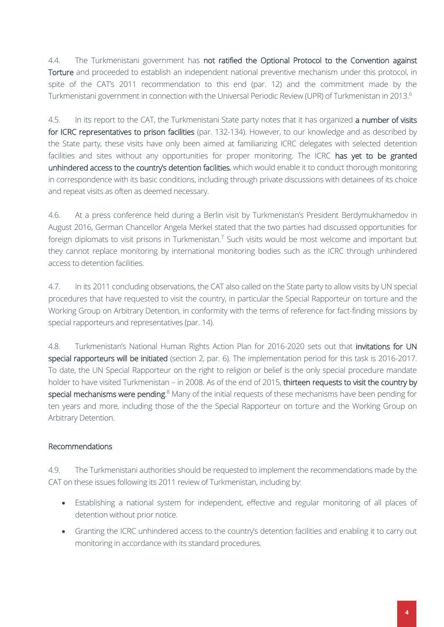4.4. The Turkmenistani government has not ratified the Optional Protocol to the Convention against Torture and proceeded to establish an independent national preventive mechanism under this protocol, in spite of the CAT's 2011 recommendation to this end (par. 12) and the commitment made by the Turkmenistani government in connection with the Universal Periodic Review (UPR) of Turkmenistan in 2013.<sup>6</sup>

4.5. In its report to the CAT, the Turkmenistani State party notes that it has organized a number of visits for ICRC representatives to prison facilities (par. 132-134). However, to our knowledge and as described by the State party, these visits have only been aimed at familiarizing ICRC delegates with selected detention facilities and sites without any opportunities for proper monitoring. The ICRC has yet to be granted unhindered access to the country's detention facilities, which would enable it to conduct thorough monitoring in correspondence with its basic conditions, including through private discussions with detainees of its choice and repeat visits as often as deemed necessary.

4.6. At a press conference held during a Berlin visit by Turkmenistan's President Berdymukhamedov in August 2016, German Chancellor Angela Merkel stated that the two parties had discussed opportunities for foreign diplomats to visit prisons in Turkmenistan.<sup>7</sup> Such visits would be most welcome and important but they cannot replace monitoring by international monitoring bodies such as the ICRC through unhindered access to detention facilities.

4.7. In its 2011 concluding observations, the CAT also called on the State party to allow visits by UN special procedures that have requested to visit the country, in particular the Special Rapporteur on torture and the Working Group on Arbitrary Detention, in conformity with the terms of reference for fact-finding missions by special rapporteurs and representatives (par. 14).

4.8. Turkmenistan's National Human Rights Action Plan for 2016-2020 sets out that invitations for UN special rapporteurs will be initiated (section 2, par. 6). The implementation period for this task is 2016-2017. To date, the UN Special Rapporteur on the right to religion or belief is the only special procedure mandate holder to have visited Turkmenistan – in 2008. As of the end of 2015, thirteen requests to visit the country by special mechanisms were pending.<sup>8</sup> Many of the initial requests of these mechanisms have been pending for ten years and more, including those of the the Special Rapporteur on torture and the Working Group on Arbitrary Detention.

#### Recommendations

4.9. The Turkmenistani authorities should be requested to implement the recommendations made by the CAT on these issues following its 2011 review of Turkmenistan, including by:

- Establishing a national system for independent, effective and regular monitoring of all places of detention without prior notice.
- Granting the ICRC unhindered access to the country's detention facilities and enabling it to carry out monitoring in accordance with its standard procedures.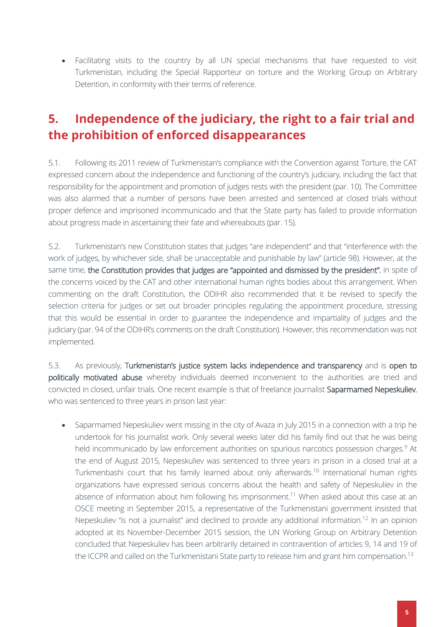Facilitating visits to the country by all UN special mechanisms that have requested to visit Turkmenistan, including the Special Rapporteur on torture and the Working Group on Arbitrary Detention, in conformity with their terms of reference.

### <span id="page-7-0"></span>**5. Independence of the judiciary, the right to a fair trial and the prohibition of enforced disappearances**

5.1. Following its 2011 review of Turkmenistan's compliance with the Convention against Torture, the CAT expressed concern about the independence and functioning of the country's judiciary, including the fact that responsibility for the appointment and promotion of judges rests with the president (par. 10). The Committee was also alarmed that a number of persons have been arrested and sentenced at closed trials without proper defence and imprisoned incommunicado and that the State party has failed to provide information about progress made in ascertaining their fate and whereabouts (par. 15).

5.2. Turkmenistan's new Constitution states that judges "are independent" and that "interference with the work of judges, by whichever side, shall be unacceptable and punishable by law" (article 98). However, at the same time, the Constitution provides that judges are "appointed and dismissed by the president", in spite of the concerns voiced by the CAT and other international human rights bodies about this arrangement. When commenting on the draft Constitution, the ODIHR also recommended that it be revised to specify the selection criteria for judges or set out broader principles regulating the appointment procedure, stressing that this would be essential in order to guarantee the independence and impartiality of judges and the judiciary (par. 94 of the ODIHR's comments on the draft Constitution). However, this recommendation was not implemented.

5.3. As previously, Turkmenistan's justice system lacks independence and transparency and is open to politically motivated abuse whereby individuals deemed inconvenient to the authorities are tried and convicted in closed, unfair trials. One recent example is that of freelance journalist Saparmamed Nepeskuliev, who was sentenced to three years in prison last year:

• Saparmamed Nepeskuliev went missing in the city of Avaza in July 2015 in a connection with a trip he undertook for his journalist work. Only several weeks later did his family find out that he was being held incommunicado by law enforcement authorities on spurious narcotics possession charges.<sup>9</sup> At the end of August 2015, Nepeskuliev was sentenced to three years in prison in a closed trial at a Turkmenbashi court that his family learned about only afterwards.<sup>10</sup> International human rights organizations have expressed serious concerns about the health and safety of Nepeskuliev in the absence of information about him following his imprisonment.<sup>11</sup> When asked about this case at an OSCE meeting in September 2015, a representative of the Turkmenistani government insisted that Nepeskuliev "is not a journalist" and declined to provide any additional information.<sup>12</sup> In an opinion adopted at its November-December 2015 session, the UN Working Group on Arbitrary Detention concluded that Nepeskuliev has been arbitrarily detained in contravention of articles 9, 14 and 19 of the ICCPR and called on the Turkmenistani State party to release him and grant him compensation.<sup>13</sup>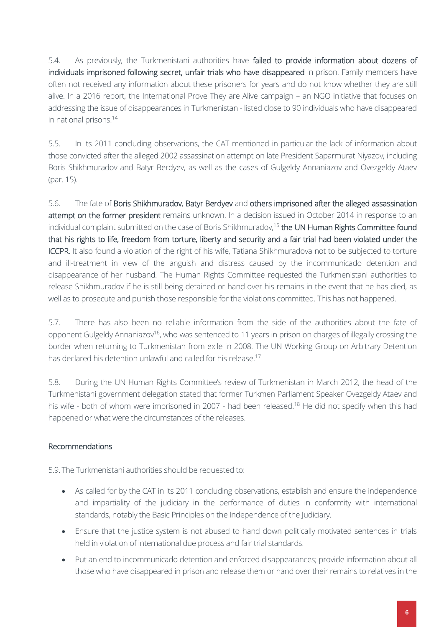5.4. As previously, the Turkmenistani authorities have failed to provide information about dozens of individuals imprisoned following secret, unfair trials who have disappeared in prison. Family members have often not received any information about these prisoners for years and do not know whether they are still alive. In a 2016 report, the International Prove They are Alive campaign – an NGO initiative that focuses on addressing the issue of disappearances in Turkmenistan - listed close to 90 individuals who have disappeared in national prisons.<sup>14</sup>

5.5. In its 2011 concluding observations, the CAT mentioned in particular the lack of information about those convicted after the alleged 2002 assassination attempt on late President Saparmurat Niyazov, including Boris Shikhmuradov and Batyr Berdyev, as well as the cases of Gulgeldy Annaniazov and Ovezgeldy Ataev (par. 15).

5.6. The fate of Boris Shikhmuradov, Batyr Berdyev and others imprisoned after the alleged assassination attempt on the former president remains unknown. In a decision issued in October 2014 in response to an individual complaint submitted on the case of Boris Shikhmuradov,<sup>15</sup> the UN Human Rights Committee found that his rights to life, freedom from torture, liberty and security and a fair trial had been violated under the ICCPR. It also found a violation of the right of his wife, Tatiana Shikhmuradova not to be subjected to torture and ill-treatment in view of the anguish and distress caused by the incommunicado detention and disappearance of her husband. The Human Rights Committee requested the Turkmenistani authorities to release Shikhmuradov if he is still being detained or hand over his remains in the event that he has died, as well as to prosecute and punish those responsible for the violations committed. This has not happened.

5.7. There has also been no reliable information from the side of the authorities about the fate of opponent Gulgeldy Annaniazov<sup>16</sup>, who was sentenced to 11 years in prison on charges of illegally crossing the border when returning to Turkmenistan from exile in 2008. The UN Working Group on Arbitrary Detention has declared his detention unlawful and called for his release.<sup>17</sup>

5.8. During the UN Human Rights Committee's review of Turkmenistan in March 2012, the head of the Turkmenistani government delegation stated that former Turkmen Parliament Speaker Ovezgeldy Ataev and his wife - both of whom were imprisoned in 2007 - had been released.<sup>18</sup> He did not specify when this had happened or what were the circumstances of the releases.

#### Recommendations

5.9. The Turkmenistani authorities should be requested to:

- As called for by the CAT in its 2011 concluding observations, establish and ensure the independence and impartiality of the judiciary in the performance of duties in conformity with international standards, notably the Basic Principles on the Independence of the Judiciary.
- Ensure that the justice system is not abused to hand down politically motivated sentences in trials held in violation of international due process and fair trial standards.
- Put an end to incommunicado detention and enforced disappearances; provide information about all those who have disappeared in prison and release them or hand over their remains to relatives in the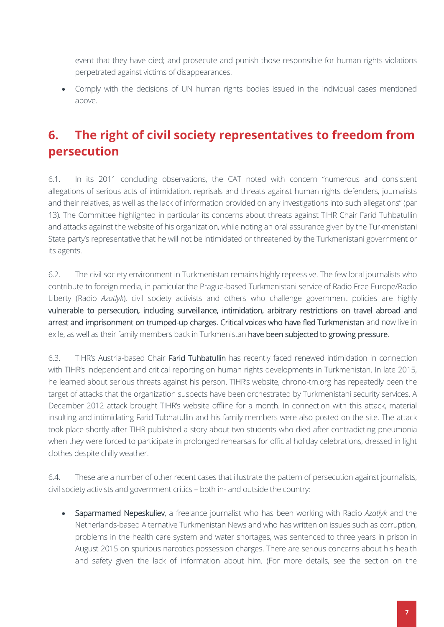event that they have died; and prosecute and punish those responsible for human rights violations perpetrated against victims of disappearances.

 Comply with the decisions of UN human rights bodies issued in the individual cases mentioned above.

# <span id="page-9-0"></span>**6. The right of civil society representatives to freedom from persecution**

6.1. In its 2011 concluding observations, the CAT noted with concern "numerous and consistent allegations of serious acts of intimidation, reprisals and threats against human rights defenders, journalists and their relatives, as well as the lack of information provided on any investigations into such allegations" (par 13). The Committee highlighted in particular its concerns about threats against TIHR Chair Farid Tuhbatullin and attacks against the website of his organization, while noting an oral assurance given by the Turkmenistani State party's representative that he will not be intimidated or threatened by the Turkmenistani government or its agents.

6.2. The civil society environment in Turkmenistan remains highly repressive. The few local journalists who contribute to foreign media, in particular the Prague-based Turkmenistani service of Radio Free Europe/Radio Liberty (Radio *Azatlyk*), civil society activists and others who challenge government policies are highly vulnerable to persecution, including surveillance, intimidation, arbitrary restrictions on travel abroad and arrest and imprisonment on trumped-up charges. Critical voices who have fled Turkmenistan and now live in exile, as well as their family members back in Turkmenistan have been subjected to growing pressure.

6.3. TIHR's Austria-based Chair Farid Tuhbatullin has recently faced renewed intimidation in connection with TIHR's independent and critical reporting on human rights developments in Turkmenistan. In late 2015, he learned about serious threats against his person. TIHR's website, chrono-tm.org has repeatedly been the target of attacks that the organization suspects have been orchestrated by Turkmenistani security services. A December 2012 attack brought TIHR's website offline for a month. In connection with this attack, material insulting and intimidating Farid Tubhatullin and his family members were also posted on the site. The attack took place shortly after TIHR published a story about two students who died after contradicting pneumonia when they were forced to participate in prolonged rehearsals for official holiday celebrations, dressed in light clothes despite chilly weather.

6.4. These are a number of other recent cases that illustrate the pattern of persecution against journalists, civil society activists and government critics – both in- and outside the country:

 Saparmamed Nepeskuliev, a freelance journalist who has been working with Radio *Azatlyk* and the Netherlands-based Alternative Turkmenistan News and who has written on issues such as corruption, problems in the health care system and water shortages, was sentenced to three years in prison in August 2015 on spurious narcotics possession charges. There are serious concerns about his health and safety given the lack of information about him. (For more details, see the section on the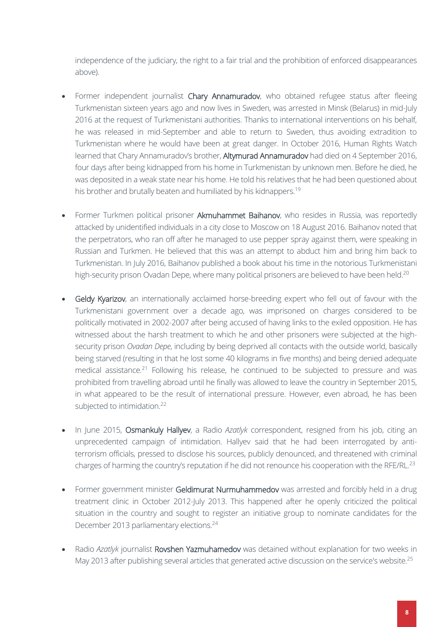independence of the judiciary, the right to a fair trial and the prohibition of enforced disappearances above).

- Former independent journalist Chary Annamuradov, who obtained refugee status after fleeing Turkmenistan sixteen years ago and now lives in Sweden, was arrested in Minsk (Belarus) in mid-July 2016 at the request of Turkmenistani authorities. Thanks to international interventions on his behalf, he was released in mid-September and able to return to Sweden, thus avoiding extradition to Turkmenistan where he would have been at great danger. In October 2016, Human Rights Watch learned that Chary Annamuradov's brother, Altymurad Annamuradov had died on 4 September 2016, four days after being kidnapped from his home in Turkmenistan by unknown men. Before he died, he was deposited in a weak state near his home. He told his relatives that he had been questioned about his brother and brutally beaten and humiliated by his kidnappers.<sup>19</sup>
- Former Turkmen political prisoner Akmuhammet Baihanov, who resides in Russia, was reportedly attacked by unidentified individuals in a city close to Moscow on 18 August 2016. Baihanov noted that the perpetrators, who ran off after he managed to use pepper spray against them, were speaking in Russian and Turkmen. He believed that this was an attempt to abduct him and bring him back to Turkmenistan. In July 2016, Baihanov published a book about his time in the notorious Turkmenistani high-security prison Ovadan Depe, where many political prisoners are believed to have been held.<sup>20</sup>
- Geldy Kyarizov, an internationally acclaimed horse-breeding expert who fell out of favour with the Turkmenistani government over a decade ago, was imprisoned on charges considered to be politically motivated in 2002-2007 after being accused of having links to the exiled opposition. He has witnessed about the harsh treatment to which he and other prisoners were subjected at the highsecurity prison *Ovadan Depe*, including by being deprived all contacts with the outside world, basically being starved (resulting in that he lost some 40 kilograms in five months) and being denied adequate medical assistance.<sup>21</sup> Following his release, he continued to be subjected to pressure and was prohibited from travelling abroad until he finally was allowed to leave the country in September 2015, in what appeared to be the result of international pressure. However, even abroad, he has been subjected to intimidation.<sup>22</sup>
- In June 2015, Osmankuly Hallyev, a Radio *Azatlyk* correspondent, resigned from his job, citing an unprecedented campaign of intimidation. Hallyev said that he had been interrogated by antiterrorism officials, pressed to disclose his sources, publicly denounced, and threatened with criminal charges of harming the country's reputation if he did not renounce his cooperation with the RFE/RL.<sup>23</sup>
- Former government minister Geldimurat Nurmuhammedov was arrested and forcibly held in a drug treatment clinic in October 2012-July 2013. This happened after he openly criticized the political situation in the country and sought to register an initiative group to nominate candidates for the December 2013 parliamentary elections.<sup>24</sup>
- Radio *Azatlyk* journalist Rovshen Yazmuhamedov was detained without explanation for two weeks in May 2013 after publishing several articles that generated active discussion on the service's website.<sup>25</sup>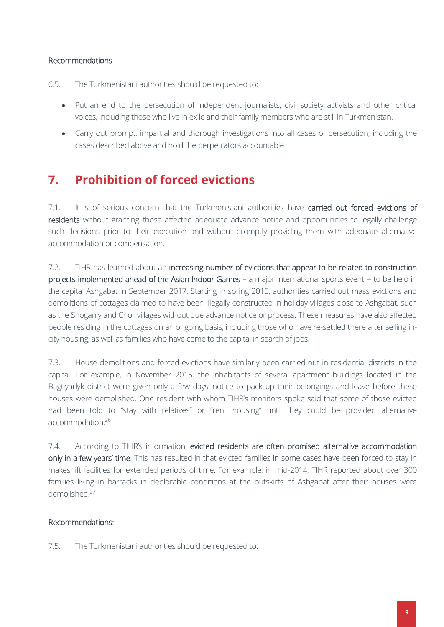#### Recommendations

6.5. The Turkmenistani authorities should be requested to:

- Put an end to the persecution of independent journalists, civil society activists and other critical voices, including those who live in exile and their family members who are still in Turkmenistan.
- Carry out prompt, impartial and thorough investigations into all cases of persecution, including the cases described above and hold the perpetrators accountable.

### <span id="page-11-0"></span>**7. Prohibition of forced evictions**

7.1. It is of serious concern that the Turkmenistani authorities have carried out forced evictions of residents without granting those affected adequate advance notice and opportunities to legally challenge such decisions prior to their execution and without promptly providing them with adequate alternative accommodation or compensation.

7.2. TIHR has learned about an increasing number of evictions that appear to be related to construction projects implemented ahead of the Asian Indoor Games – a major international sports event -- to be held in the capital Ashgabat in September 2017. Starting in spring 2015, authorities carried out mass evictions and demolitions of cottages claimed to have been illegally constructed in holiday villages close to Ashgabat, such as the Shoganly and Chor villages without due advance notice or process. These measures have also affected people residing in the cottages on an ongoing basis, including those who have re-settled there after selling incity housing, as well as families who have come to the capital in search of jobs.

7.3. House demolitions and forced evictions have similarly been carried out in residential districts in the capital. For example, in November 2015, the inhabitants of several apartment buildings located in the Bagtiyarlyk district were given only a few days' notice to pack up their belongings and leave before these houses were demolished. One resident with whom TIHR's monitors spoke said that some of those evicted had been told to "stay with relatives" or "rent housing" until they could be provided alternative accommodation<sup>26</sup>

7.4. According to TIHR's information, evicted residents are often promised alternative accommodation only in a few years' time. This has resulted in that evicted families in some cases have been forced to stay in makeshift facilities for extended periods of time. For example, in mid-2014, TIHR reported about over 300 families living in barracks in deplorable conditions at the outskirts of Ashgabat after their houses were demolished.<sup>27</sup>

#### Recommendations:

7.5. The Turkmenistani authorities should be requested to: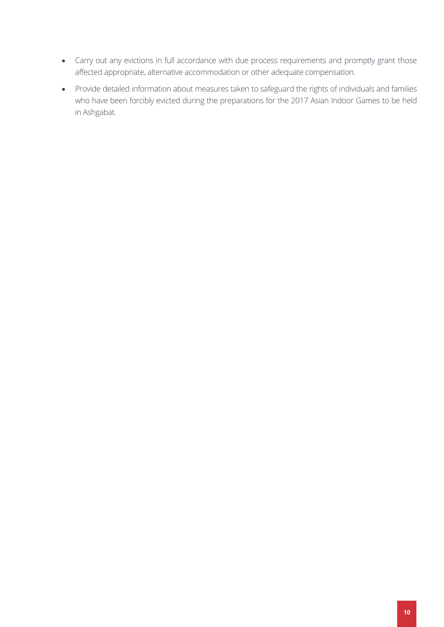- Carry out any evictions in full accordance with due process requirements and promptly grant those affected appropriate, alternative accommodation or other adequate compensation.
- Provide detailed information about measures taken to safeguard the rights of individuals and families who have been forcibly evicted during the preparations for the 2017 Asian Indoor Games to be held in Ashgabat.